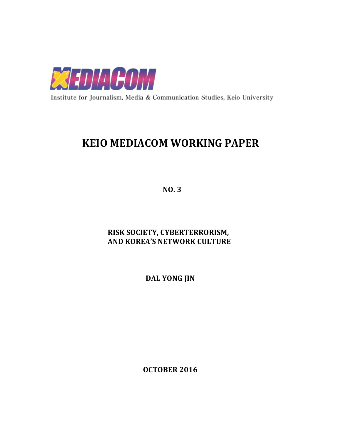

Institute for Journalism, Media & Communication Studies, Keio University

# **KEIO MEDIACOM WORKING PAPER**

**NO. 3**

# **RISK SOCIETY, CYBERTERRORISM, AND KOREA'S NETWORK CULTURE**

**DAL YONG JIN**

**OCTOBER 2016**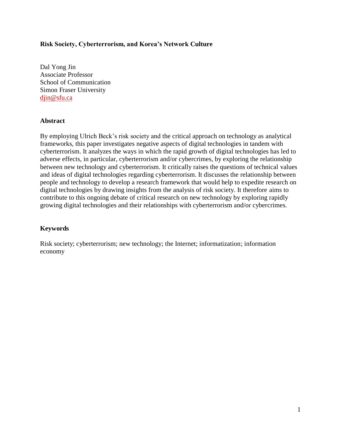### **Risk Society, Cyberterrorism, and Korea's Network Culture**

Dal Yong Jin Associate Professor School of Communication Simon Fraser University [djin@sfu.ca](mailto:djin@sfu.ca)

### **Abstract**

By employing Ulrich Beck's risk society and the critical approach on technology as analytical frameworks, this paper investigates negative aspects of digital technologies in tandem with cyberterrorism. It analyzes the ways in which the rapid growth of digital technologies has led to adverse effects, in particular, cyberterrorism and/or cybercrimes, by exploring the relationship between new technology and cyberterrorism. It critically raises the questions of technical values and ideas of digital technologies regarding cyberterrorism. It discusses the relationship between people and technology to develop a research framework that would help to expedite research on digital technologies by drawing insights from the analysis of risk society. It therefore aims to contribute to this ongoing debate of critical research on new technology by exploring rapidly growing digital technologies and their relationships with cyberterrorism and/or cybercrimes.

## **Keywords**

Risk society; cyberterrorism; new technology; the Internet; informatization; information economy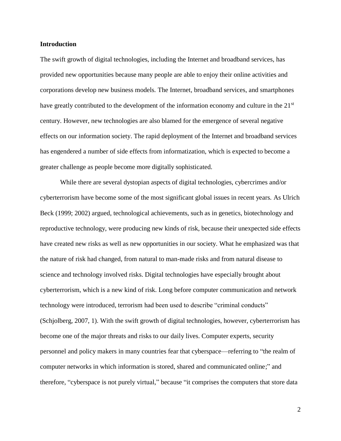#### **Introduction**

The swift growth of digital technologies, including the Internet and broadband services, has provided new opportunities because many people are able to enjoy their online activities and corporations develop new business models. The Internet, broadband services, and smartphones have greatly contributed to the development of the information economy and culture in the 21<sup>st</sup> century. However, new technologies are also blamed for the emergence of several negative effects on our information society. The rapid deployment of the Internet and broadband services has engendered a number of side effects from informatization, which is expected to become a greater challenge as people become more digitally sophisticated.

While there are several dystopian aspects of digital technologies, cybercrimes and/or cyberterrorism have become some of the most significant global issues in recent years. As Ulrich Beck (1999; 2002) argued, technological achievements, such as in genetics, biotechnology and reproductive technology, were producing new kinds of risk, because their unexpected side effects have created new risks as well as new opportunities in our society. What he emphasized was that the nature of risk had changed, from natural to man-made risks and from natural disease to science and technology involved risks. Digital technologies have especially brought about cyberterrorism, which is a new kind of risk. Long before computer communication and network technology were introduced, terrorism had been used to describe "criminal conducts" (Schjolberg, 2007, 1). With the swift growth of digital technologies, however, cyberterrorism has become one of the major threats and risks to our daily lives. Computer experts, security personnel and policy makers in many countries fear that cyberspace—referring to "the realm of computer networks in which information is stored, shared and communicated online;" and therefore, "cyberspace is not purely virtual," because "it comprises the computers that store data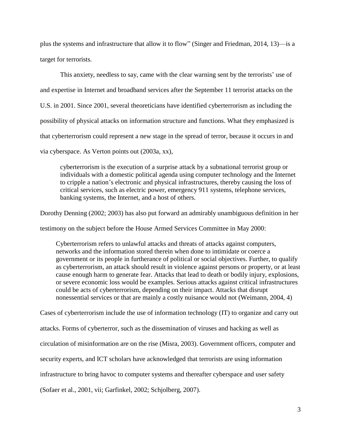plus the systems and infrastructure that allow it to flow" (Singer and Friedman, 2014, 13)—is a target for terrorists.

This anxiety, needless to say, came with the clear warning sent by the terrorists' use of and expertise in Internet and broadband services after the September 11 terrorist attacks on the U.S. in 2001. Since 2001, several theoreticians have identified cyberterrorism as including the possibility of physical attacks on information structure and functions. What they emphasized is that cyberterrorism could represent a new stage in the spread of terror, because it occurs in and via cyberspace. As Verton points out (2003a, xx),

cyberterrorism is the execution of a surprise attack by a subnational terrorist group or individuals with a domestic political agenda using computer technology and the Internet to cripple a nation's electronic and physical infrastructures, thereby causing the loss of critical services, such as electric power, emergency 911 systems, telephone services, banking systems, the Internet, and a host of others.

Dorothy Denning (2002; 2003) has also put forward an admirably unambiguous definition in her

testimony on the subject before the House Armed Services Committee in May 2000:

Cyberterrorism refers to unlawful attacks and threats of attacks against computers, networks and the information stored therein when done to intimidate or coerce a government or its people in furtherance of political or social objectives. Further, to qualify as cyberterrorism, an attack should result in violence against persons or property, or at least cause enough harm to generate fear. Attacks that lead to death or bodily injury, explosions, or severe economic loss would be examples. Serious attacks against critical infrastructures could be acts of cyberterrorism, depending on their impact. Attacks that disrupt nonessential services or that are mainly a costly nuisance would not (Weimann, 2004, 4)

Cases of cyberterrorism include the use of information technology (IT) to organize and carry out

attacks. Forms of cyberterror, such as the dissemination of viruses and hacking as well as

circulation of misinformation are on the rise (Misra, 2003). Government officers, computer and

security experts, and ICT scholars have acknowledged that terrorists are using information

infrastructure to bring havoc to computer systems and thereafter cyberspace and user safety

(Sofaer et al., 2001, vii; Garfinkel, 2002; Schjolberg, 2007).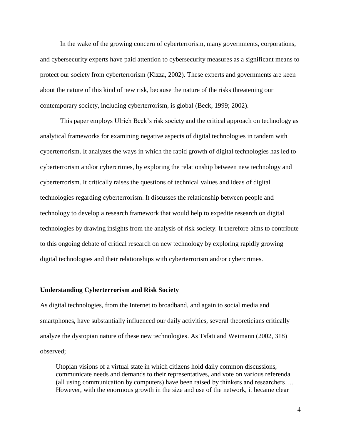In the wake of the growing concern of cyberterrorism, many governments, corporations, and cybersecurity experts have paid attention to cybersecurity measures as a significant means to protect our society from cyberterrorism (Kizza, 2002). These experts and governments are keen about the nature of this kind of new risk, because the nature of the risks threatening our contemporary society, including cyberterrorism, is global (Beck, 1999; 2002).

This paper employs Ulrich Beck's risk society and the critical approach on technology as analytical frameworks for examining negative aspects of digital technologies in tandem with cyberterrorism. It analyzes the ways in which the rapid growth of digital technologies has led to cyberterrorism and/or cybercrimes, by exploring the relationship between new technology and cyberterrorism. It critically raises the questions of technical values and ideas of digital technologies regarding cyberterrorism. It discusses the relationship between people and technology to develop a research framework that would help to expedite research on digital technologies by drawing insights from the analysis of risk society. It therefore aims to contribute to this ongoing debate of critical research on new technology by exploring rapidly growing digital technologies and their relationships with cyberterrorism and/or cybercrimes.

#### **Understanding Cyberterrorism and Risk Society**

As digital technologies, from the Internet to broadband, and again to social media and smartphones, have substantially influenced our daily activities, several theoreticians critically analyze the dystopian nature of these new technologies. As Tsfati and Weimann (2002, 318) observed;

Utopian visions of a virtual state in which citizens hold daily common discussions, communicate needs and demands to their representatives, and vote on various referenda (all using communication by computers) have been raised by thinkers and researchers…. However, with the enormous growth in the size and use of the network, it became clear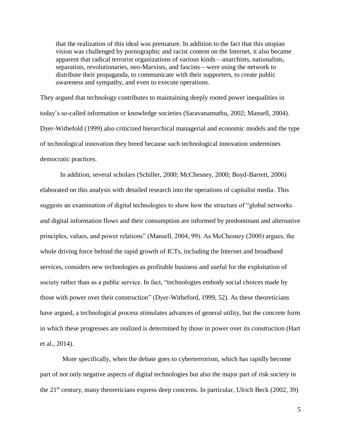that the realization of this ideal was premature. In addition to the fact that this utopian vision was challenged by pornographic and racist content on the Internet, it also became apparent that radical terrorist organizations of various kinds—anarchists, nationalists, separatists, revolutionaries, neo-Marxists, and fascists—were using the network to distribute their propaganda, to communicate with their supporters, to create public awareness and sympathy, and even to execute operations.

They argued that technology contributes to maintaining deeply rooted power inequalities in today's so-called information or knowledge societies (Saravanamuthu, 2002; Mansell, 2004). Dyer-Withefold (1999) also criticized hierarchical managerial and economic models and the type of technological innovation they breed because such technological innovation undermines democratic practices.

In addition, several scholars (Schiller, 2000; McChesney, 2000; Boyd-Barrett, 2006) elaborated on this analysis with detailed research into the operations of capitalist media. This suggests an examination of digital technologies to show how the structure of "global networks and digital information flows and their consumption are informed by predominant and alternative principles, values, and power relations" (Mansell, 2004, 99). As McChesney (2000) argues, the whole driving force behind the rapid growth of ICTs, including the Internet and broadband services, considers new technologies as profitable business and useful for the exploitation of society rather than as a public service. In fact, "technologies embody social choices made by those with power over their construction" (Dyer-Witheford, 1999, 52). As these theoreticians have argued, a technological process stimulates advances of general utility, but the concrete form in which these progresses are realized is determined by those in power over its construction (Hart et al., 2014).

 More specifically, when the debate goes to cyberterrorism, which has rapidly become part of not only negative aspects of digital technologies but also the major part of risk society in the 21st century, many theoreticians express deep concerns. In particular, Ulrich Beck (2002, 39)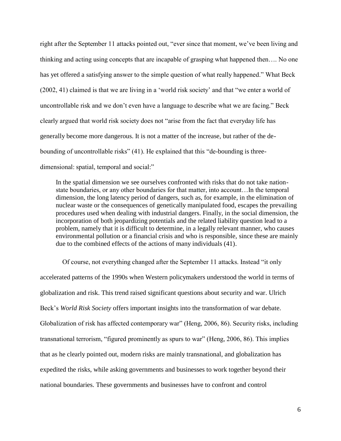right after the September 11 attacks pointed out, "ever since that moment, we've been living and thinking and acting using concepts that are incapable of grasping what happened then…. No one has yet offered a satisfying answer to the simple question of what really happened." What Beck (2002, 41) claimed is that we are living in a 'world risk society' and that "we enter a world of uncontrollable risk and we don't even have a language to describe what we are facing." Beck clearly argued that world risk society does not "arise from the fact that everyday life has generally become more dangerous. It is not a matter of the increase, but rather of the debounding of uncontrollable risks" (41). He explained that this "de-bounding is threedimensional: spatial, temporal and social:"

In the spatial dimension we see ourselves confronted with risks that do not take nationstate boundaries, or any other boundaries for that matter, into account…In the temporal dimension, the long latency period of dangers, such as, for example, in the elimination of nuclear waste or the consequences of genetically manipulated food, escapes the prevailing procedures used when dealing with industrial dangers. Finally, in the social dimension, the incorporation of both jeopardizing potentials and the related liability question lead to a problem, namely that it is difficult to determine, in a legally relevant manner, who causes environmental pollution or a financial crisis and who is responsible, since these are mainly due to the combined effects of the actions of many individuals (41).

Of course, not everything changed after the September 11 attacks. Instead "it only accelerated patterns of the 1990s when Western policymakers understood the world in terms of globalization and risk. This trend raised significant questions about security and war. Ulrich Beck's *World Risk Society* offers important insights into the transformation of war debate. Globalization of risk has affected contemporary war" (Heng, 2006, 86). Security risks, including transnational terrorism, "figured prominently as spurs to war" (Heng, 2006, 86). This implies that as he clearly pointed out, modern risks are mainly transnational, and globalization has expedited the risks, while asking governments and businesses to work together beyond their national boundaries. These governments and businesses have to confront and control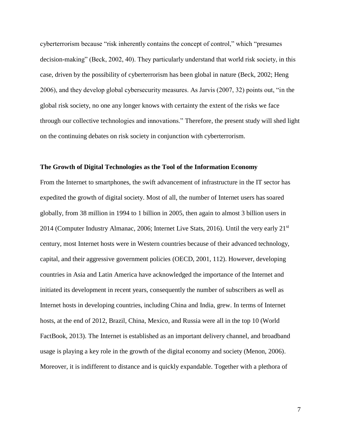cyberterrorism because "risk inherently contains the concept of control," which "presumes decision-making" (Beck, 2002, 40). They particularly understand that world risk society, in this case, driven by the possibility of cyberterrorism has been global in nature (Beck, 2002; Heng 2006), and they develop global cybersecurity measures. As Jarvis (2007, 32) points out, "in the global risk society, no one any longer knows with certainty the extent of the risks we face through our collective technologies and innovations." Therefore, the present study will shed light on the continuing debates on risk society in conjunction with cyberterrorism.

#### **The Growth of Digital Technologies as the Tool of the Information Economy**

From the Internet to smartphones, the swift advancement of infrastructure in the IT sector has expedited the growth of digital society. Most of all, the number of Internet users has soared globally, from 38 million in 1994 to 1 billion in 2005, then again to almost 3 billion users in 2014 (Computer Industry Almanac, 2006; Internet Live Stats, 2016). Until the very early 21<sup>st</sup> century, most Internet hosts were in Western countries because of their advanced technology, capital, and their aggressive government policies (OECD, 2001, 112). However, developing countries in Asia and Latin America have acknowledged the importance of the Internet and initiated its development in recent years, consequently the number of subscribers as well as Internet hosts in developing countries, including China and India, grew. In terms of Internet hosts, at the end of 2012, Brazil, China, Mexico, and Russia were all in the top 10 (World FactBook, 2013). The Internet is established as an important delivery channel, and broadband usage is playing a key role in the growth of the digital economy and society (Menon, 2006). Moreover, it is indifferent to distance and is quickly expandable. Together with a plethora of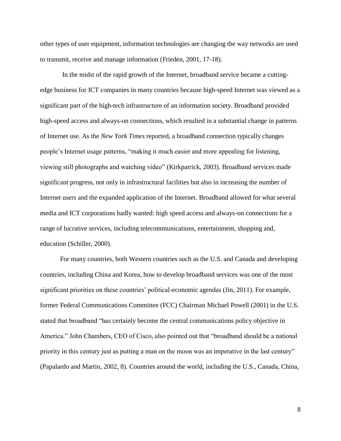other types of user equipment, information technologies are changing the way networks are used to transmit, receive and manage information (Frieden, 2001, 17-18).

 In the midst of the rapid growth of the Internet, broadband service became a cuttingedge business for ICT companies in many countries because high-speed Internet was viewed as a significant part of the high-tech infrastructure of an information society. Broadband provided high-speed access and always-on connections, which resulted in a substantial change in patterns of Internet use. As the *New York Times* reported, a broadband connection typically changes people's Internet usage patterns, "making it much easier and more appealing for listening, viewing still photographs and watching video" (Kirkpatrick, 2003). Broadband services made significant progress, not only in infrastructural facilities but also in increasing the number of Internet users and the expanded application of the Internet. Broadband allowed for what several media and ICT corporations badly wanted: high speed access and always-on connections for a range of lucrative services, including telecommunications, entertainment, shopping and, education (Schiller, 2000).

For many countries, both Western countries such as the U.S. and Canada and developing countries, including China and Korea, how to develop broadband services was one of the most significant priorities on these countries' political-economic agendas (Jin, 2011). For example, former Federal Communications Committee (FCC) Chairman Michael Powell (2001) in the U.S. stated that broadband "has certainly become the central communications policy objective in America." John Chambers, CEO of Cisco, also pointed out that "broadband should be a national priority in this century just as putting a man on the moon was an imperative in the last century" (Papalardo and Martin, 2002, 8). Countries around the world, including the U.S., Canada, China,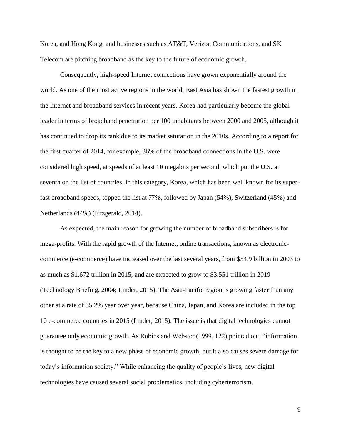Korea, and Hong Kong, and businesses such as AT&T, Verizon Communications, and SK Telecom are pitching broadband as the key to the future of economic growth.

Consequently, high-speed Internet connections have grown exponentially around the world. As one of the most active regions in the world, East Asia has shown the fastest growth in the Internet and broadband services in recent years. Korea had particularly become the global leader in terms of broadband penetration per 100 inhabitants between 2000 and 2005, although it has continued to drop its rank due to its market saturation in the 2010s. According to a report for the first quarter of 2014, for example, 36% of the broadband connections in the U.S. were considered high speed, at speeds of at least 10 megabits per second, which put the U.S. at seventh on the list of countries. In this category, Korea, which has been well known for its superfast broadband speeds, topped the list at 77%, followed by Japan (54%), Switzerland (45%) and Netherlands (44%) (Fitzgerald, 2014).

As expected, the main reason for growing the number of broadband subscribers is for mega-profits. With the rapid growth of the Internet, online transactions, known as electroniccommerce (e-commerce) have increased over the last several years, from \$54.9 billion in 2003 to as much as \$1.672 trillion in 2015, and are expected to grow to \$3.551 trillion in 2019 (Technology Briefing, 2004; Linder, 2015). The Asia-Pacific region is growing faster than any other at a rate of 35.2% year over year, because China, Japan, and Korea are included in the top 10 e-commerce countries in 2015 (Linder, 2015). The issue is that digital technologies cannot guarantee only economic growth. As Robins and Webster (1999, 122) pointed out, "information is thought to be the key to a new phase of economic growth, but it also causes severe damage for today's information society." While enhancing the quality of people's lives, new digital technologies have caused several social problematics, including cyberterrorism.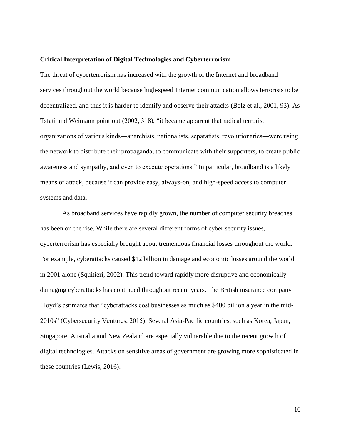#### **Critical Interpretation of Digital Technologies and Cyberterrorism**

The threat of cyberterrorism has increased with the growth of the Internet and broadband services throughout the world because high-speed Internet communication allows terrorists to be decentralized, and thus it is harder to identify and observe their attacks (Bolz et al., 2001, 93). As Tsfati and Weimann point out (2002, 318), "it became apparent that radical terrorist organizations of various kinds―anarchists, nationalists, separatists, revolutionaries―were using the network to distribute their propaganda, to communicate with their supporters, to create public awareness and sympathy, and even to execute operations." In particular, broadband is a likely means of attack, because it can provide easy, always-on, and high-speed access to computer systems and data.

As broadband services have rapidly grown, the number of computer security breaches has been on the rise. While there are several different forms of cyber security issues, cyberterrorism has especially brought about tremendous financial losses throughout the world. For example, cyberattacks caused \$12 billion in damage and economic losses around the world in 2001 alone (Squitieri, 2002). This trend toward rapidly more disruptive and economically damaging cyberattacks has continued throughout recent years. The British insurance company Lloyd's estimates that "cyberattacks cost businesses as much as \$400 billion a year in the mid-2010s" (Cybersecurity Ventures, 2015). Several Asia-Pacific countries, such as Korea, Japan, Singapore, Australia and New Zealand are especially vulnerable due to the recent growth of digital technologies. Attacks on sensitive areas of government are growing more sophisticated in these countries (Lewis, 2016).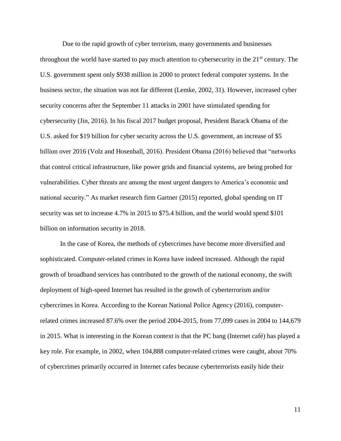Due to the rapid growth of cyber terrorism, many governments and businesses throughout the world have started to pay much attention to cybersecurity in the  $21<sup>st</sup>$  century. The U.S. government spent only \$938 million in 2000 to protect federal computer systems. In the business sector, the situation was not far different (Lemke, 2002, 31). However, increased cyber security concerns after the September 11 attacks in 2001 have stimulated spending for cybersecurity (Jin, 2016). In his fiscal 2017 budget proposal, President Barack Obama of the U.S. asked for \$19 billion for cyber security across the U.S. government, an increase of \$5 billion over 2016 (Volz and Hosenball, 2016). President Obama (2016) believed that "networks that control critical infrastructure, like power grids and financial systems, are being probed for vulnerabilities. Cyber threats are among the most urgent dangers to America's economic and national security." As market research firm Gartner (2015) reported, global spending on IT security was set to increase 4.7% in 2015 to \$75.4 billion, and the world would spend \$101 billion on information security in 2018.

In the case of Korea, the methods of cybercrimes have become more diversified and sophisticated. Computer-related crimes in Korea have indeed increased. Although the rapid growth of broadband services has contributed to the growth of the national economy, the swift deployment of high-speed Internet has resulted in the growth of cyberterrorism and/or cybercrimes in Korea. According to the Korean National Police Agency (2016), computerrelated crimes increased 87.6% over the period 2004-2015, from 77,099 cases in 2004 to 144,679 in 2015. What is interesting in the Korean context is that the PC bang (Internet café) has played a key role. For example, in 2002, when 104,888 computer-related crimes were caught, about 70% of cybercrimes primarily occurred in Internet cafes because cyberterrorists easily hide their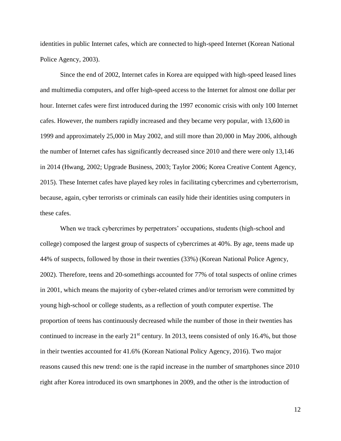identities in public Internet cafes, which are connected to high-speed Internet (Korean National Police Agency, 2003).

Since the end of 2002, Internet cafes in Korea are equipped with high-speed leased lines and multimedia computers, and offer high-speed access to the Internet for almost one dollar per hour. Internet cafes were first introduced during the 1997 economic crisis with only 100 Internet cafes. However, the numbers rapidly increased and they became very popular, with 13,600 in 1999 and approximately 25,000 in May 2002, and still more than 20,000 in May 2006, although the number of Internet cafes has significantly decreased since 2010 and there were only 13,146 in 2014 (Hwang, 2002; Upgrade Business, 2003; Taylor 2006; Korea Creative Content Agency, 2015). These Internet cafes have played key roles in facilitating cybercrimes and cyberterrorism, because, again, cyber terrorists or criminals can easily hide their identities using computers in these cafes.

When we track cybercrimes by perpetrators' occupations, students (high-school and college) composed the largest group of suspects of cybercrimes at 40%. By age, teens made up 44% of suspects, followed by those in their twenties (33%) (Korean National Police Agency, 2002). Therefore, teens and 20-somethings accounted for 77% of total suspects of online crimes in 2001, which means the majority of cyber-related crimes and/or terrorism were committed by young high-school or college students, as a reflection of youth computer expertise. The proportion of teens has continuously decreased while the number of those in their twenties has continued to increase in the early  $21<sup>st</sup>$  century. In 2013, teens consisted of only 16.4%, but those in their twenties accounted for 41.6% (Korean National Policy Agency, 2016). Two major reasons caused this new trend: one is the rapid increase in the number of smartphones since 2010 right after Korea introduced its own smartphones in 2009, and the other is the introduction of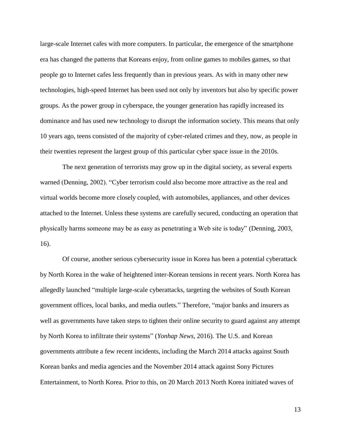large-scale Internet cafes with more computers. In particular, the emergence of the smartphone era has changed the patterns that Koreans enjoy, from online games to mobiles games, so that people go to Internet cafes less frequently than in previous years. As with in many other new technologies, high-speed Internet has been used not only by inventors but also by specific power groups. As the power group in cyberspace, the younger generation has rapidly increased its dominance and has used new technology to disrupt the information society. This means that only 10 years ago, teens consisted of the majority of cyber-related crimes and they, now, as people in their twenties represent the largest group of this particular cyber space issue in the 2010s.

 The next generation of terrorists may grow up in the digital society, as several experts warned (Denning, 2002). "Cyber terrorism could also become more attractive as the real and virtual worlds become more closely coupled, with automobiles, appliances, and other devices attached to the Internet. Unless these systems are carefully secured, conducting an operation that physically harms someone may be as easy as penetrating a Web site is today" (Denning, 2003, 16).

Of course, another serious cybersecurity issue in Korea has been a potential cyberattack by North Korea in the wake of heightened inter-Korean tensions in recent years. North Korea has allegedly launched "multiple large-scale cyberattacks, targeting the websites of South Korean government offices, local banks, and media outlets." Therefore, "major banks and insurers as well as governments have taken steps to tighten their online security to guard against any attempt by North Korea to infiltrate their systems" (*Yonhap News*, 2016). The U.S. and Korean governments attribute a few recent incidents, including the March 2014 attacks against South Korean banks and media agencies and the November 2014 attack against Sony Pictures Entertainment, to North Korea. Prior to this, on 20 March 2013 North Korea initiated waves of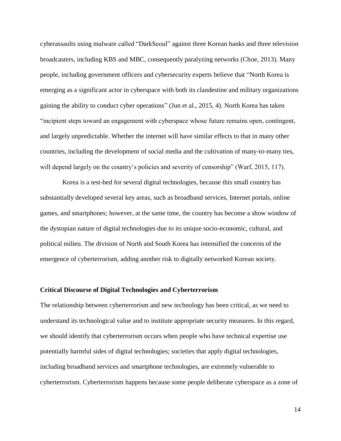cyberassaults using malware called "DarkSeoul" against three Korean banks and three television broadcasters, including KBS and MBC, consequently paralyzing networks (Choe, 2013). Many people, including government officers and cybersecurity experts believe that "North Korea is emerging as a significant actor in cyberspace with both its clandestine and military organizations gaining the ability to conduct cyber operations" (Jun et al., 2015, 4). North Korea has taken "incipient steps toward an engagement with cyberspace whose future remains open, contingent, and largely unpredictable. Whether the internet will have similar effects to that in many other countries, including the development of social media and the cultivation of many-to-many ties, will depend largely on the country's policies and severity of censorship" (Warf, 2015, 117).

Korea is a test-bed for several digital technologies, because this small country has substantially developed several key areas, such as broadband services, Internet portals, online games, and smartphones; however, at the same time, the country has become a show window of the dystopian nature of digital technologies due to its unique socio-economic, cultural, and political milieu. The division of North and South Korea has intensified the concerns of the emergence of cyberterrorism, adding another risk to digitally networked Korean society.

#### **Critical Discourse of Digital Technologies and Cyberterrorism**

The relationship between cyberterrorism and new technology has been critical, as we need to understand its technological value and to institute appropriate security measures. In this regard, we should identify that cyberterrorism occurs when people who have technical expertise use potentially harmful sides of digital technologies; societies that apply digital technologies, including broadband services and smartphone technologies, are extremely vulnerable to cyberterrorism. Cyberterrorism happens because some people deliberate cyberspace as a zone of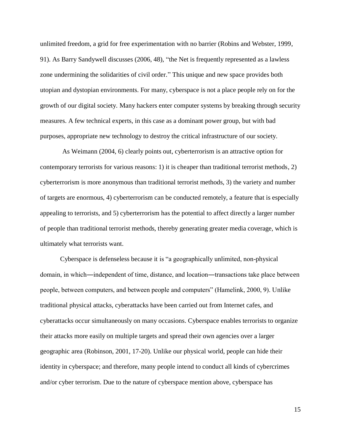unlimited freedom, a grid for free experimentation with no barrier (Robins and Webster, 1999, 91). As Barry Sandywell discusses (2006, 48), "the Net is frequently represented as a lawless zone undermining the solidarities of civil order." This unique and new space provides both utopian and dystopian environments. For many, cyberspace is not a place people rely on for the growth of our digital society. Many hackers enter computer systems by breaking through security measures. A few technical experts, in this case as a dominant power group, but with bad purposes, appropriate new technology to destroy the critical infrastructure of our society.

As Weimann (2004, 6) clearly points out, cyberterrorism is an attractive option for contemporary terrorists for various reasons: 1) it is cheaper than traditional terrorist methods, 2) cyberterrorism is more anonymous than traditional terrorist methods, 3) the variety and number of targets are enormous, 4) cyberterrorism can be conducted remotely, a feature that is especially appealing to terrorists, and 5) cyberterrorism has the potential to affect directly a larger number of people than traditional terrorist methods, thereby generating greater media coverage, which is ultimately what terrorists want.

Cyberspace is defenseless because it is "a geographically unlimited, non-physical domain, in which―independent of time, distance, and location―transactions take place between people, between computers, and between people and computers" (Hamelink, 2000, 9). Unlike traditional physical attacks, cyberattacks have been carried out from Internet cafes, and cyberattacks occur simultaneously on many occasions. Cyberspace enables terrorists to organize their attacks more easily on multiple targets and spread their own agencies over a larger geographic area (Robinson, 2001, 17-20). Unlike our physical world, people can hide their identity in cyberspace; and therefore, many people intend to conduct all kinds of cybercrimes and/or cyber terrorism. Due to the nature of cyberspace mention above, cyberspace has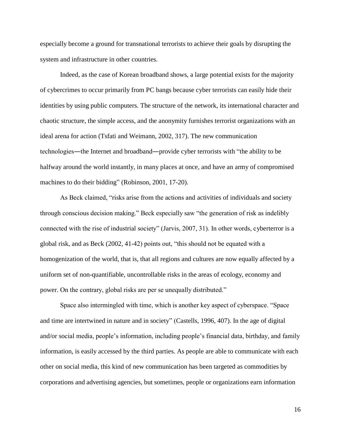especially become a ground for transnational terrorists to achieve their goals by disrupting the system and infrastructure in other countries.

Indeed, as the case of Korean broadband shows, a large potential exists for the majority of cybercrimes to occur primarily from PC bangs because cyber terrorists can easily hide their identities by using public computers. The structure of the network, its international character and chaotic structure, the simple access, and the anonymity furnishes terrorist organizations with an ideal arena for action (Tsfati and Weimann, 2002, 317). The new communication technologies―the Internet and broadband―provide cyber terrorists with "the ability to be halfway around the world instantly, in many places at once, and have an army of compromised machines to do their bidding" (Robinson, 2001, 17-20).

As Beck claimed, "risks arise from the actions and activities of individuals and society through conscious decision making." Beck especially saw "the generation of risk as indelibly connected with the rise of industrial society" (Jarvis, 2007, 31). In other words, cyberterror is a global risk, and as Beck (2002, 41-42) points out, "this should not be equated with a homogenization of the world, that is, that all regions and cultures are now equally affected by a uniform set of non-quantifiable, uncontrollable risks in the areas of ecology, economy and power. On the contrary, global risks are per se unequally distributed."

Space also intermingled with time, which is another key aspect of cyberspace. "Space and time are intertwined in nature and in society" (Castells, 1996, 407). In the age of digital and/or social media, people's information, including people's financial data, birthday, and family information, is easily accessed by the third parties. As people are able to communicate with each other on social media, this kind of new communication has been targeted as commodities by corporations and advertising agencies, but sometimes, people or organizations earn information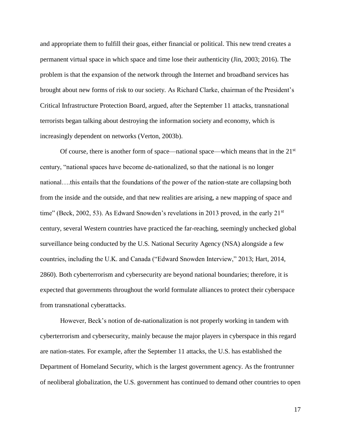and appropriate them to fulfill their goas, either financial or political. This new trend creates a permanent virtual space in which space and time lose their authenticity (Jin, 2003; 2016). The problem is that the expansion of the network through the Internet and broadband services has brought about new forms of risk to our society. As Richard Clarke, chairman of the President's Critical Infrastructure Protection Board, argued, after the September 11 attacks, transnational terrorists began talking about destroying the information society and economy, which is increasingly dependent on networks (Verton, 2003b).

Of course, there is another form of space—national space—which means that in the 21st century, "national spaces have become de-nationalized, so that the national is no longer national….this entails that the foundations of the power of the nation-state are collapsing both from the inside and the outside, and that new realities are arising, a new mapping of space and time" (Beck, 2002, 53). As Edward Snowden's revelations in 2013 proved, in the early  $21<sup>st</sup>$ century, several Western countries have practiced the far-reaching, seemingly unchecked global surveillance being conducted by the U.S. National Security Agency (NSA) alongside a few countries, including the U.K. and Canada ("Edward Snowden Interview," 2013; Hart, 2014, 2860). Both cyberterrorism and cybersecurity are beyond national boundaries; therefore, it is expected that governments throughout the world formulate alliances to protect their cyberspace from transnational cyberattacks.

However, Beck's notion of de-nationalization is not properly working in tandem with cyberterrorism and cybersecurity, mainly because the major players in cyberspace in this regard are nation-states. For example, after the September 11 attacks, the U.S. has established the Department of Homeland Security, which is the largest government agency. As the frontrunner of neoliberal globalization, the U.S. government has continued to demand other countries to open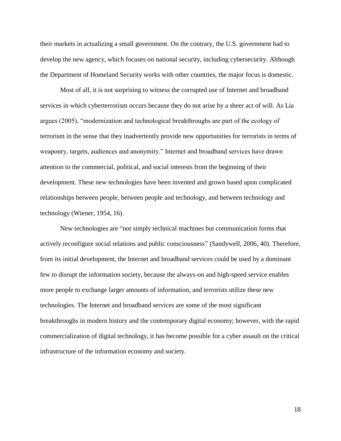their markets in actualizing a small government. On the contrary, the U.S. government had to develop the new agency, which focuses on national security, including cybersecurity. Although the Department of Homeland Security works with other countries, the major focus is domestic.

Most of all, it is not surprising to witness the corrupted use of Internet and broadband services in which cyberterrorism occurs because they do not arise by a sheer act of will. As Lia argues (2005), "modernization and technological breakthroughs are part of the ecology of terrorism in the sense that they inadvertently provide new opportunities for terrorists in terms of weaponry, targets, audiences and anonymity." Internet and broadband services have drawn attention to the commercial, political, and social interests from the beginning of their development. These new technologies have been invented and grown based upon complicated relationships between people, between people and technology, and between technology and technology (Wiener, 1954, 16).

New technologies are "not simply technical machines but communication forms that actively reconfigure social relations and public consciousness" (Sandywell, 2006, 40). Therefore, from its initial development, the Internet and broadband services could be used by a dominant few to disrupt the information society, because the always-on and high-speed service enables more people to exchange larger amounts of information, and terrorists utilize these new technologies. The Internet and broadband services are some of the most significant breakthroughs in modern history and the contemporary digital economy; however, with the rapid commercialization of digital technology, it has become possible for a cyber assault on the critical infrastructure of the information economy and society.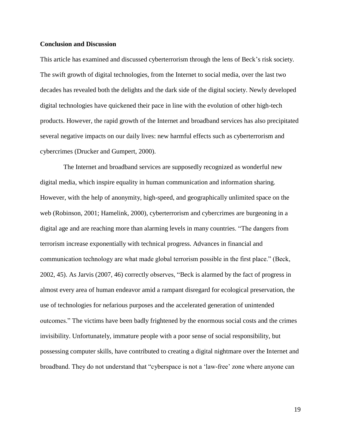#### **Conclusion and Discussion**

This article has examined and discussed cyberterrorism through the lens of Beck's risk society. The swift growth of digital technologies, from the Internet to social media, over the last two decades has revealed both the delights and the dark side of the digital society. Newly developed digital technologies have quickened their pace in line with the evolution of other high-tech products. However, the rapid growth of the Internet and broadband services has also precipitated several negative impacts on our daily lives: new harmful effects such as cyberterrorism and cybercrimes (Drucker and Gumpert, 2000).

The Internet and broadband services are supposedly recognized as wonderful new digital media, which inspire equality in human communication and information sharing. However, with the help of anonymity, high-speed, and geographically unlimited space on the web (Robinson, 2001; Hamelink, 2000), cyberterrorism and cybercrimes are burgeoning in a digital age and are reaching more than alarming levels in many countries. "The dangers from terrorism increase exponentially with technical progress. Advances in financial and communication technology are what made global terrorism possible in the first place." (Beck, 2002, 45). As Jarvis (2007, 46) correctly observes, "Beck is alarmed by the fact of progress in almost every area of human endeavor amid a rampant disregard for ecological preservation, the use of technologies for nefarious purposes and the accelerated generation of unintended outcomes." The victims have been badly frightened by the enormous social costs and the crimes invisibility. Unfortunately, immature people with a poor sense of social responsibility, but possessing computer skills, have contributed to creating a digital nightmare over the Internet and broadband. They do not understand that "cyberspace is not a 'law-free' zone where anyone can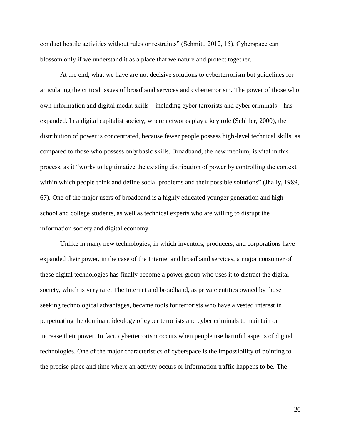conduct hostile activities without rules or restraints" (Schmitt, 2012, 15). Cyberspace can blossom only if we understand it as a place that we nature and protect together.

At the end, what we have are not decisive solutions to cyberterrorism but guidelines for articulating the critical issues of broadband services and cyberterrorism. The power of those who own information and digital media skills―including cyber terrorists and cyber criminals―has expanded. In a digital capitalist society, where networks play a key role (Schiller, 2000), the distribution of power is concentrated, because fewer people possess high-level technical skills, as compared to those who possess only basic skills. Broadband, the new medium, is vital in this process, as it "works to legitimatize the existing distribution of power by controlling the context within which people think and define social problems and their possible solutions" (Jhally, 1989, 67). One of the major users of broadband is a highly educated younger generation and high school and college students, as well as technical experts who are willing to disrupt the information society and digital economy.

Unlike in many new technologies, in which inventors, producers, and corporations have expanded their power, in the case of the Internet and broadband services, a major consumer of these digital technologies has finally become a power group who uses it to distract the digital society, which is very rare. The Internet and broadband, as private entities owned by those seeking technological advantages, became tools for terrorists who have a vested interest in perpetuating the dominant ideology of cyber terrorists and cyber criminals to maintain or increase their power. In fact, cyberterrorism occurs when people use harmful aspects of digital technologies. One of the major characteristics of cyberspace is the impossibility of pointing to the precise place and time where an activity occurs or information traffic happens to be. The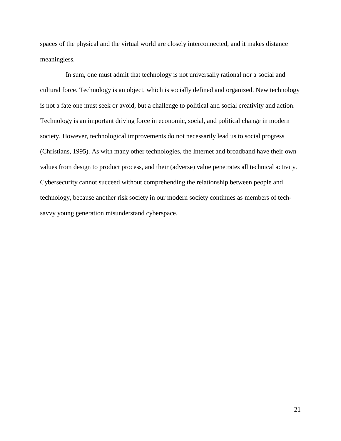spaces of the physical and the virtual world are closely interconnected, and it makes distance meaningless.

In sum, one must admit that technology is not universally rational nor a social and cultural force. Technology is an object, which is socially defined and organized. New technology is not a fate one must seek or avoid, but a challenge to political and social creativity and action. Technology is an important driving force in economic, social, and political change in modern society. However, technological improvements do not necessarily lead us to social progress (Christians, 1995). As with many other technologies, the Internet and broadband have their own values from design to product process, and their (adverse) value penetrates all technical activity. Cybersecurity cannot succeed without comprehending the relationship between people and technology, because another risk society in our modern society continues as members of techsavvy young generation misunderstand cyberspace.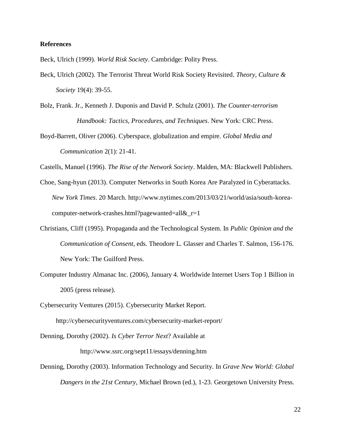#### **References**

Beck, Ulrich (1999). *World Risk Society*. Cambridge: Polity Press.

- Beck, Ulrich (2002). The Terrorist Threat World Risk Society Revisited. *Theory, Culture & Society* 19(4): 39-55.
- Bolz, Frank. Jr., Kenneth J. Duponis and David P. Schulz (2001). *The Counter-terrorism Handbook: Tactics, Procedures, and Techniques*. New York: CRC Press.
- Boyd-Barrett, Oliver (2006). Cyberspace, globalization and empire. *Global Media and Communication* 2(1): 21-41.

Castells, Manuel (1996). *The Rise of the Network Society*. Malden, MA: Blackwell Publishers.

- Choe, Sang-hyun (2013). Computer Networks in South Korea Are Paralyzed in Cyberattacks. *New York Times*. 20 March. http://www.nytimes.com/2013/03/21/world/asia/south-koreacomputer-network-crashes.html?pagewanted=all&\_r=1
- Christians, Cliff (1995). Propaganda and the Technological System. In *Public Opinion and the Communication of Consent*, eds. Theodore L. Glasser and Charles T. Salmon, 156-176. New York: The Guilford Press.
- Computer Industry Almanac Inc. (2006), January 4. Worldwide Internet Users Top 1 Billion in 2005 (press release).
- Cybersecurity Ventures (2015). Cybersecurity Market Report.

http://cybersecurityventures.com/cybersecurity-market-report/

Denning, Dorothy (2002). *Is Cyber Terror Next*? Available at

<http://www.ssrc.org/sept11/essays/denning.htm>

Denning, Dorothy (2003). Information Technology and Security. In *Grave New World: Global Dangers in the 21st Century*, Michael Brown (ed.), 1-23. Georgetown University Press.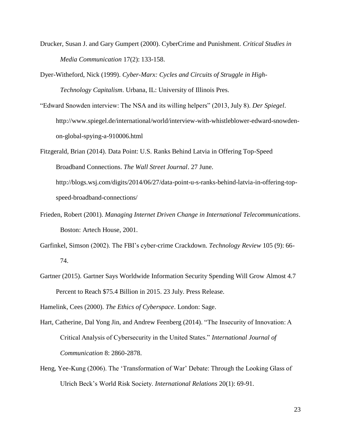- Drucker, Susan J. and Gary Gumpert (2000). CyberCrime and Punishment. *Critical Studies in Media Communication* 17(2): 133-158.
- Dyer-Witheford, Nick (1999). *Cyber-Marx: Cycles and Circuits of Struggle in High-Technology Capitalism*. Urbana, IL: University of Illinois Pres.
- "Edward Snowden interview: The NSA and its willing helpers" (2013, July 8). *Der Spiegel*. http://www.spiegel.de/international/world/interview-with-whistleblower-edward-snowdenon-global-spying-a-910006.html
- Fitzgerald, Brian (2014). Data Point: U.S. Ranks Behind Latvia in Offering Top-Speed Broadband Connections. *The Wall Street Journal*. 27 June. http://blogs.wsj.com/digits/2014/06/27/data-point-u-s-ranks-behind-latvia-in-offering-topspeed-broadband-connections/
- Frieden, Robert (2001). *Managing Internet Driven Change in International Telecommunications*. Boston: Artech House, 2001.
- Garfinkel, Simson (2002). The FBI's cyber-crime Crackdown. *Technology Review* 105 (9): 66- 74.
- Gartner (2015). Gartner Says Worldwide Information Security Spending Will Grow Almost 4.7 Percent to Reach \$75.4 Billion in 2015. 23 July. Press Release.

Hamelink, Cees (2000). *The Ethics of Cyberspace*. London: Sage.

- Hart, Catherine, Dal Yong Jin, and Andrew Feenberg (2014). "The Insecurity of Innovation: A Critical Analysis of Cybersecurity in the United States." *International Journal of Communication* 8: 2860-2878.
- Heng, Yee-Kung (2006). The 'Transformation of War' Debate: Through the Looking Glass of Ulrich Beck's World Risk Society. *International Relations* 20(1): 69-91.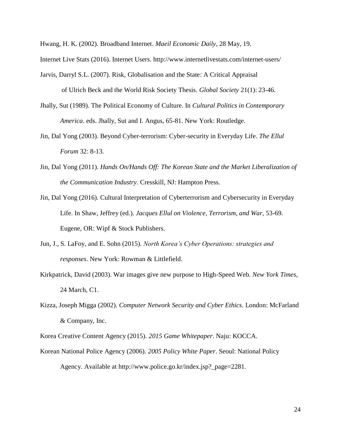Hwang, H. K. (2002). Broadband Internet. *Maeil Economic Daily*, 28 May, 19.

Internet Live Stats (2016). Internet Users.<http://www.internetlivestats.com/internet-users/>

Jarvis, Darryl S.L. (2007). Risk, Globalisation and the State: A Critical Appraisal

of Ulrich Beck and the World Risk Society Thesis. *Global Society* 21(1): 23-46.

- Jhally, Sut (1989). The Political Economy of Culture. In *Cultural Politics in Contemporary America*. eds. Jhally, Sut and I. Angus, 65-81. New York: Routledge.
- Jin, Dal Yong (2003). Beyond Cyber-terrorism: Cyber-security in Everyday Life. *The Ellul Forum* 32: 8-13.
- Jin, Dal Yong (2011). *Hands On/Hands Off: The Korean State and the Market Liberalization of the Communication Industry*. Cresskill, NJ: Hampton Press.
- Jin, Dal Yong (2016). Cultural Interpretation of Cyberterrorism and Cybersecurity in Everyday Life. In Shaw, Jeffrey (ed.). *Jacques Ellul on Violence, Terrorism, and War,* 53-69. Eugene, OR: Wipf & Stock Publishers.
- Jun, J., S. LaFoy, and E. Sohn (2015). *North Korea's Cyber Operations: strategies and responses*. New York: Rowman & Littlefield.
- Kirkpatrick, David (2003). War images give new purpose to High-Speed Web. *New York Times*, 24 March, C1.
- Kizza, Joseph Migga (2002). *Computer Network Security and Cyber Ethics*. London: McFarland & Company, Inc.

Korea Creative Content Agency (2015). *2015 Game Whitepaper*. Naju: KOCCA.

Korean National Police Agency (2006). *2005 Policy White Paper*. Seoul: National Policy Agency. Available at [http://www.police.go.kr/index.jsp?\\_page=2281.](http://www.police.go.kr/index.jsp?_page=2281)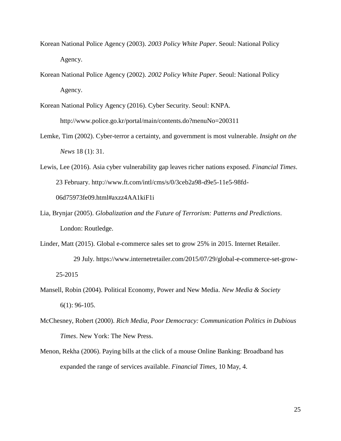- Korean National Police Agency (2003). *2003 Policy White Paper*. Seoul: National Policy Agency.
- Korean National Police Agency (2002). *2002 Policy White Paper*. Seoul: National Policy Agency.

Korean National Policy Agency (2016). Cyber Security. Seoul: KNPA. http://www.police.go.kr/portal/main/contents.do?menuNo=200311

- Lemke, Tim (2002). Cyber-terror a certainty, and government is most vulnerable. *Insight on the News* 18 (1): 31.
- Lewis, Lee (2016). Asia cyber vulnerability gap leaves richer nations exposed. *Financial Times*. 23 February. [http://www.ft.com/intl/cms/s/0/3ceb2a98-d9e5-11e5-98fd-](http://www.ft.com/intl/cms/s/0/3ceb2a98-d9e5-11e5-98fd-06d75973fe09.html#axzz4AA1kiF1i)[06d75973fe09.html#axzz4AA1kiF1i](http://www.ft.com/intl/cms/s/0/3ceb2a98-d9e5-11e5-98fd-06d75973fe09.html#axzz4AA1kiF1i)
- Lia, Brynjar (2005). *Globalization and the Future of Terrorism: Patterns and Predictions*. London: Routledge.
- Linder, Matt (2015). Global e-commerce sales set to grow 25% in 2015. Internet Retailer. 29 July. https://www.internetretailer.com/2015/07/29/global-e-commerce-set-grow-25-2015
- Mansell, Robin (2004). Political Economy, Power and New Media. *New Media & Society* 6(1): 96-105.
- McChesney, Robert (2000). *Rich Media, Poor Democracy: Communication Politics in Dubious Times*. New York: The New Press.
- Menon, Rekha (2006). Paying bills at the click of a mouse Online Banking: Broadband has expanded the range of services available. *Financial Times*, 10 May, 4.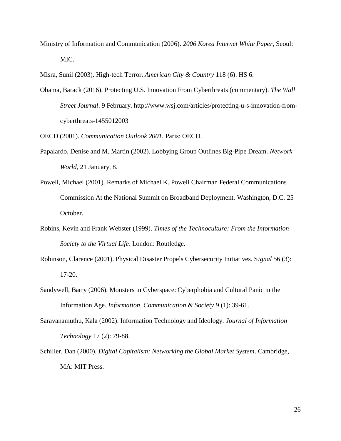Ministry of Information and Communication (2006). *2006 Korea Internet White Paper*, Seoul: MIC.

Misra, Sunil (2003). High-tech Terror. *American City & Country* 118 (6): HS 6.

Obama, Barack (2016). Protecting U.S. Innovation From Cyberthreats (commentary). *The Wall Street Journal*. 9 February. http://www.wsj.com/articles/protecting-u-s-innovation-fromcyberthreats-1455012003

OECD (2001). *Communication Outlook 2001.* Paris: OECD.

- Papalardo, Denise and M. Martin (2002). Lobbying Group Outlines Big-Pipe Dream. *Network World*, 21 January, 8.
- Powell, Michael (2001). Remarks of Michael K. Powell Chairman Federal Communications Commission At the National Summit on Broadband Deployment. Washington, D.C. 25 October.
- Robins, Kevin and Frank Webster (1999). *Times of the Technoculture: From the Information Society to the Virtual Life*. London: Routledge.
- Robinson, Clarence (2001). Physical Disaster Propels Cybersecurity Initiatives. S*ignal* 56 (3): 17-20.
- Sandywell, Barry (2006). Monsters in Cyberspace: Cyberphobia and Cultural Panic in the Information Age. *Information, Communication & Society* 9 (1): 39-61.
- Saravanamuthu, Kala (2002). Information Technology and Ideology. *Journal of Information Technology* 17 (2): 79-88.
- Schiller, Dan (2000). *Digital Capitalism: Networking the Global Market System*. Cambridge, MA: MIT Press.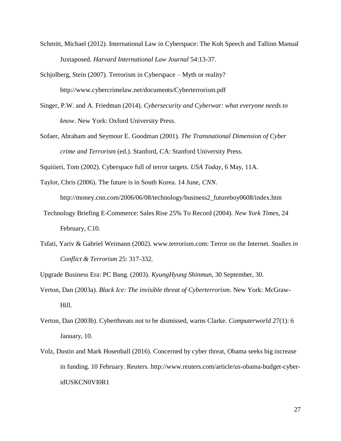- Schmitt, Michael (2012). International Law in Cyberspace: The Koh Speech and Tallinn Manual Juxtaposed. *Harvard International Law Journal* 54:13-37.
- Schjolberg, Stein (2007). Terrorism in Cyberspace Myth or reality? http://www.cybercrimelaw.net/documents/Cyberterrorism.pdf
- Singer, P.W. and A. Friedman (2014). *Cybersecurity and Cyberwar: what everyone needs to know*. New York: Oxford University Press.
- Sofaer, Abraham and Seymour E. Goodman (2001). *The Transnational Dimension of Cyber crime and Terrorism* (ed.). Stanford, CA: Stanford University Press.

Squitieri, Tom (2002). Cyberspace full of terror targets. *USA Today,* 6 May, 11A.

Taylor, Chris (2006). The future is in South Korea. 14 June, *CNN*. http://money.cnn.com/2006/06/08/technology/business2\_futureboy0608/index.htm

- Technology Briefing E-Commerce: Sales Rise 25% To Record (2004). *New York Times*, 24 February, C10.
- Tsfati, Yariv & Gabriel Weimann (2002). www.terrorism.com: Terror on the Internet. *Studies in Conflict & Terrorism* 25: 317-332.

Upgrade Business Era: PC Bang. (2003). *KyungHyung Shinmun*, 30 September, 30.

- Verton, Dan (2003a). *Black Ice: The invisible threat of Cyberterrorism*. New York: McGraw-Hill.
- Verton, Dan (2003b). Cyberthreats not to be dismissed, warns Clarke. *Computerworld* 27(1): 6 January, 10.
- Volz, Dustin and Mark Hosenball (2016). Concerned by cyber threat, Obama seeks big increase in funding. 10 February. Reuters. [http://www.reuters.com/article/us-obama-budget-cyber](http://www.reuters.com/article/us-obama-budget-cyber-idUSKCN0VI0R1)[idUSKCN0VI0R1](http://www.reuters.com/article/us-obama-budget-cyber-idUSKCN0VI0R1)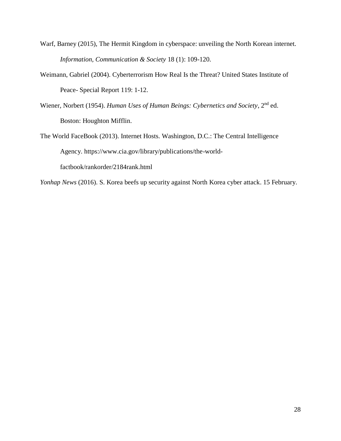- Warf, Barney (2015), The Hermit Kingdom in cyberspace: unveiling the North Korean internet. *Information, Communication & Society* 18 (1): 109-120.
- Weimann, Gabriel (2004). Cyberterrorism How Real Is the Threat? United States Institute of Peace- Special Report 119: 1-12.
- Wiener, Norbert (1954). *Human Uses of Human Beings: Cybernetics and Society*, 2nd ed. Boston: Houghton Mifflin.
- The World FaceBook (2013). Internet Hosts. Washington, D.C.: The Central Intelligence Agency. https://www.cia.gov/library/publications/the-worldfactbook/rankorder/2184rank.html

*Yonhap News* (2016). S. Korea beefs up security against North Korea cyber attack. 15 February.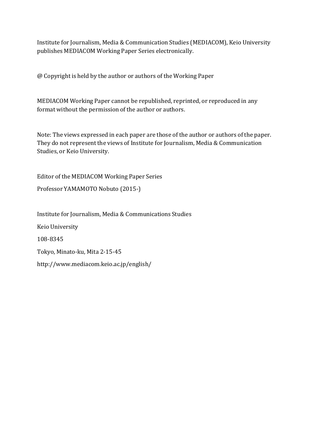Institute for Journalism, Media & Communication Studies (MEDIACOM), Keio University publishes MEDIACOM Working Paper Series electronically.

@ Copyright is held by the author or authors of the Working Paper

MEDIACOM Working Paper cannot be republished, reprinted, or reproduced in any format without the permission of the author or authors.

Note: The views expressed in each paper are those of the author or authors of the paper. They do not represent the views of Institute for Journalism, Media & Communication Studies, or Keio University.

Editor of the MEDIACOM Working Paper Series

Professor YAMAMOTO Nobuto (2015-)

Institute for Journalism, Media & Communications Studies

Keio University

108-8345

Tokyo, Minato-ku, Mita 2-15-45

<http://www.mediacom.keio.ac.jp/english/>